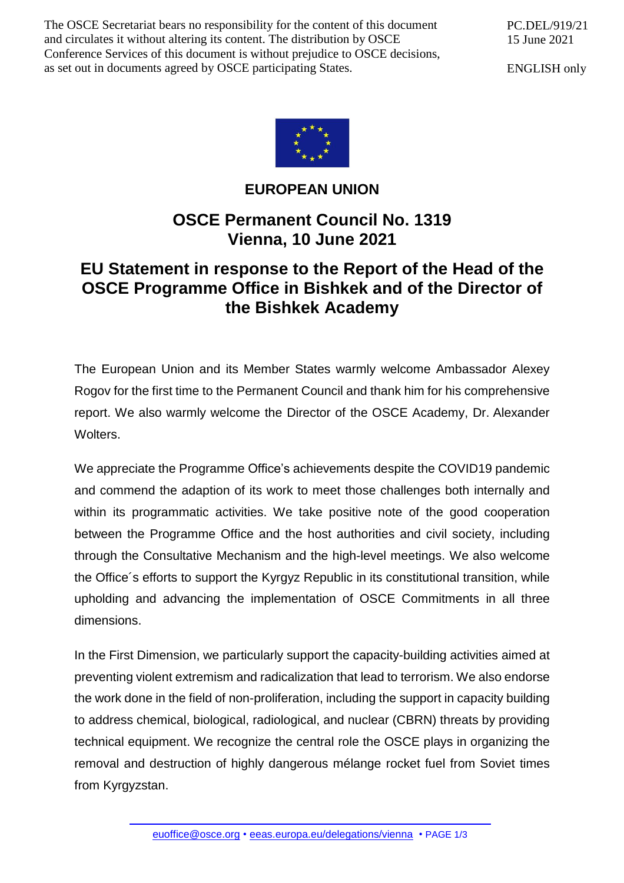The OSCE Secretariat bears no responsibility for the content of this document and circulates it without altering its content. The distribution by OSCE Conference Services of this document is without prejudice to OSCE decisions, as set out in documents agreed by OSCE participating States.

PC.DEL/919/21 15 June 2021

ENGLISH only



**EUROPEAN UNION**

## **OSCE Permanent Council No. 1319 Vienna, 10 June 2021**

## **EU Statement in response to the Report of the Head of the OSCE Programme Office in Bishkek and of the Director of the Bishkek Academy**

The European Union and its Member States warmly welcome Ambassador Alexey Rogov for the first time to the Permanent Council and thank him for his comprehensive report. We also warmly welcome the Director of the OSCE Academy, Dr. Alexander Wolters.

We appreciate the Programme Office's achievements despite the COVID19 pandemic and commend the adaption of its work to meet those challenges both internally and within its programmatic activities. We take positive note of the good cooperation between the Programme Office and the host authorities and civil society, including through the Consultative Mechanism and the high-level meetings. We also welcome the Office´s efforts to support the Kyrgyz Republic in its constitutional transition, while upholding and advancing the implementation of OSCE Commitments in all three dimensions.

In the First Dimension, we particularly support the capacity-building activities aimed at preventing violent extremism and radicalization that lead to terrorism. We also endorse the work done in the field of non-proliferation, including the support in capacity building to address chemical, biological, radiological, and nuclear (CBRN) threats by providing technical equipment. We recognize the central role the OSCE plays in organizing the removal and destruction of highly dangerous mélange rocket fuel from Soviet times from Kyrgyzstan.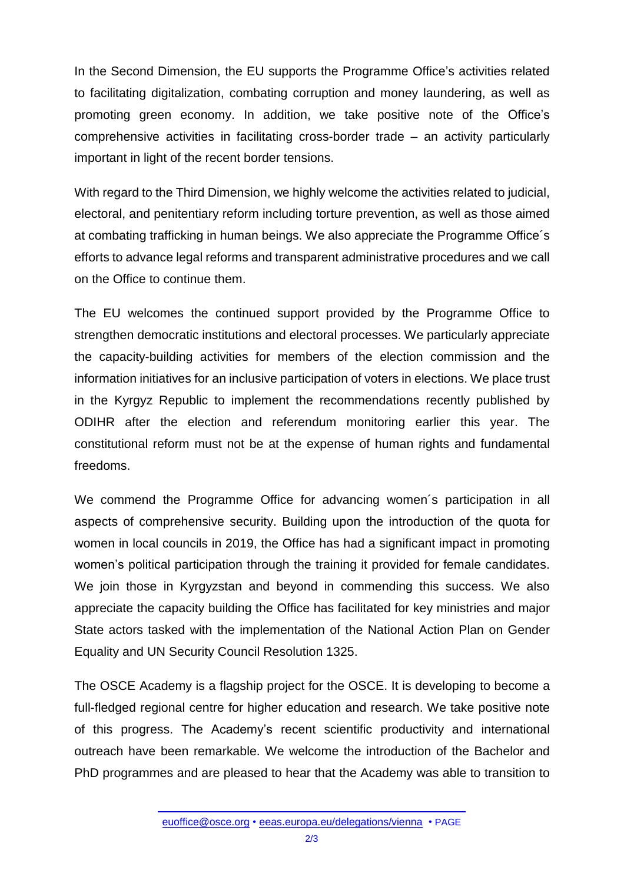In the Second Dimension, the EU supports the Programme Office's activities related to facilitating digitalization, combating corruption and money laundering, as well as promoting green economy. In addition, we take positive note of the Office's comprehensive activities in facilitating cross-border trade – an activity particularly important in light of the recent border tensions.

With regard to the Third Dimension, we highly welcome the activities related to judicial, electoral, and penitentiary reform including torture prevention, as well as those aimed at combating trafficking in human beings. We also appreciate the Programme Office´s efforts to advance legal reforms and transparent administrative procedures and we call on the Office to continue them.

The EU welcomes the continued support provided by the Programme Office to strengthen democratic institutions and electoral processes. We particularly appreciate the capacity-building activities for members of the election commission and the information initiatives for an inclusive participation of voters in elections. We place trust in the Kyrgyz Republic to implement the recommendations recently published by ODIHR after the election and referendum monitoring earlier this year. The constitutional reform must not be at the expense of human rights and fundamental freedoms.

We commend the Programme Office for advancing women´s participation in all aspects of comprehensive security. Building upon the introduction of the quota for women in local councils in 2019, the Office has had a significant impact in promoting women's political participation through the training it provided for female candidates. We join those in Kyrgyzstan and beyond in commending this success. We also appreciate the capacity building the Office has facilitated for key ministries and major State actors tasked with the implementation of the National Action Plan on Gender Equality and UN Security Council Resolution 1325.

The OSCE Academy is a flagship project for the OSCE. It is developing to become a full-fledged regional centre for higher education and research. We take positive note of this progress. The Academy's recent scientific productivity and international outreach have been remarkable. We welcome the introduction of the Bachelor and PhD programmes and are pleased to hear that the Academy was able to transition to